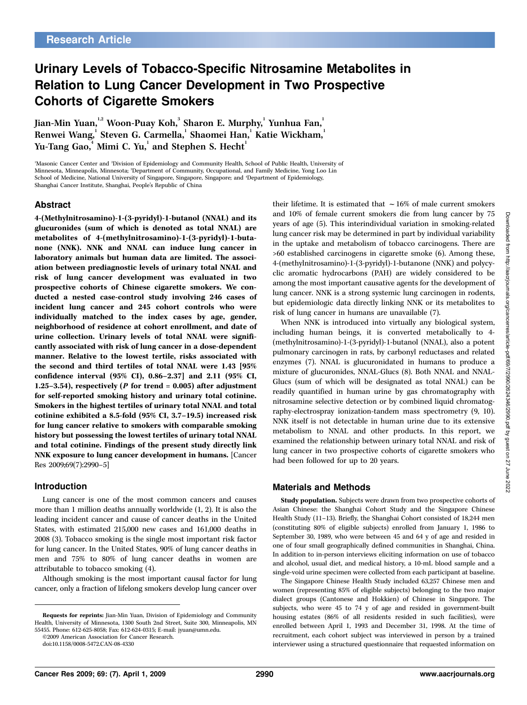# Urinary Levels of Tobacco-Specific Nitrosamine Metabolites in Relation to Lung Cancer Development in Two Prospective Cohorts of Cigarette Smokers

Jian-Min Yuan, $^{^{1,2}}$  Woon-Puay Koh, $^{^3}$  Sharon E. Murphy, $^{^1}$  Yunhua Fan, $^{^1}$ Renwei Wang, $^{\rm l}$  Steven G. Carmella, $^{\rm l}$  Shaomei Han, $^{\rm l}$  Katie Wickham, $^{\rm l}$ Yu-Tang Gao, $^4$  Mimi C. Yu, $^1$  and Stephen S. Hecht $^1$ 

'Masonic Cancer Center and 'Division of Epidemiology and Community Health, School of Public Health, University of Minnesota, Minneapolis, Minnesota; <sup>3</sup> Department of Community, Occupational, and Family Medicine, Yong Loo Lin School of Medicine, National University of Singapore, Singapore, Singapore; and 'Department of Epidemiology, Shanghai Cancer Institute, Shanghai, People's Republic of China

#### Abstract

4-(Methylnitrosamino)-1-(3-pyridyl)-1-butanol (NNAL) and its glucuronides (sum of which is denoted as total NNAL) are metabolites of 4-(methylnitrosamino)-1-(3-pyridyl)-1-butanone (NNK). NNK and NNAL can induce lung cancer in laboratory animals but human data are limited. The association between prediagnostic levels of urinary total NNAL and risk of lung cancer development was evaluated in two prospective cohorts of Chinese cigarette smokers. We conducted a nested case-control study involving 246 cases of incident lung cancer and 245 cohort controls who were individually matched to the index cases by age, gender, neighborhood of residence at cohort enrollment, and date of urine collection. Urinary levels of total NNAL were significantly associated with risk of lung cancer in a dose-dependent manner. Relative to the lowest tertile, risks associated with the second and third tertiles of total NNAL were 1.43 [95% confidence interval (95% CI), 0.86–2.37] and 2.11 (95% CI, 1.25–3.54), respectively ( $P$  for trend = 0.005) after adjustment for self-reported smoking history and urinary total cotinine. Smokers in the highest tertiles of urinary total NNAL and total cotinine exhibited a 8.5-fold (95% CI, 3.7–19.5) increased risk for lung cancer relative to smokers with comparable smoking history but possessing the lowest tertiles of urinary total NNAL and total cotinine. Findings of the present study directly link NNK exposure to lung cancer development in humans. [Cancer Res 2009;69(7):2990–5]

#### Introduction

Lung cancer is one of the most common cancers and causes more than 1 million deaths annually worldwide (1, 2). It is also the leading incident cancer and cause of cancer deaths in the United States, with estimated 215,000 new cases and 161,000 deaths in 2008 (3). Tobacco smoking is the single most important risk factor for lung cancer. In the United States, 90% of lung cancer deaths in men and 75% to 80% of lung cancer deaths in women are attributable to tobacco smoking (4).

Although smoking is the most important causal factor for lung cancer, only a fraction of lifelong smokers develop lung cancer over their lifetime. It is estimated that  $\sim$  16% of male current smokers and 10% of female current smokers die from lung cancer by 75 years of age (5). This interindividual variation in smoking-related lung cancer risk may be determined in part by individual variability in the uptake and metabolism of tobacco carcinogens. There are >60 established carcinogens in cigarette smoke (6). Among these, 4-(methylnitrosamino)-1-(3-pyridyl)-1-butanone (NNK) and polycyclic aromatic hydrocarbons (PAH) are widely considered to be among the most important causative agents for the development of lung cancer. NNK is a strong systemic lung carcinogen in rodents, but epidemiologic data directly linking NNK or its metabolites to risk of lung cancer in humans are unavailable (7).

When NNK is introduced into virtually any biological system, including human beings, it is converted metabolically to 4- (methylnitrosamino)-1-(3-pyridyl)-1-butanol (NNAL), also a potent pulmonary carcinogen in rats, by carbonyl reductases and related enzymes (7). NNAL is glucuronidated in humans to produce a mixture of glucuronides, NNAL-Glucs (8). Both NNAL and NNAL-Glucs (sum of which will be designated as total NNAL) can be readily quantified in human urine by gas chromatography with nitrosamine selective detection or by combined liquid chromatography-electrospray ionization-tandem mass spectrometry (9, 10). NNK itself is not detectable in human urine due to its extensive metabolism to NNAL and other products. In this report, we examined the relationship between urinary total NNAL and risk of lung cancer in two prospective cohorts of cigarette smokers who had been followed for up to 20 years.

#### Materials and Methods

Study population. Subjects were drawn from two prospective cohorts of Asian Chinese: the Shanghai Cohort Study and the Singapore Chinese Health Study (11–13). Briefly, the Shanghai Cohort consisted of 18,244 men (constituting 80% of eligible subjects) enrolled from January 1, 1986 to September 30, 1989, who were between 45 and 64 y of age and resided in one of four small geographically defined communities in Shanghai, China. In addition to in-person interviews eliciting information on use of tobacco and alcohol, usual diet, and medical history, a 10-mL blood sample and a single-void urine specimen were collected from each participant at baseline.

The Singapore Chinese Health Study included 63,257 Chinese men and women (representing 85% of eligible subjects) belonging to the two major dialect groups (Cantonese and Hokkien) of Chinese in Singapore. The subjects, who were 45 to 74 y of age and resided in government-built housing estates (86% of all residents resided in such facilities), were enrolled between April 1, 1993 and December 31, 1998. At the time of recruitment, each cohort subject was interviewed in person by a trained interviewer using a structured questionnaire that requested information on

Requests for reprints: Jian-Min Yuan, Division of Epidemiology and Community Health, University of Minnesota, 1300 South 2nd Street, Suite 300, Minneapolis, MN 55455. Phone: 612-625-8058; Fax: 612-624-0315; E-mail: jyuan@umn.edu.

<sup>©2009</sup> American Association for Cancer Research. doi:10.1158/0008-5472.CAN-08-4330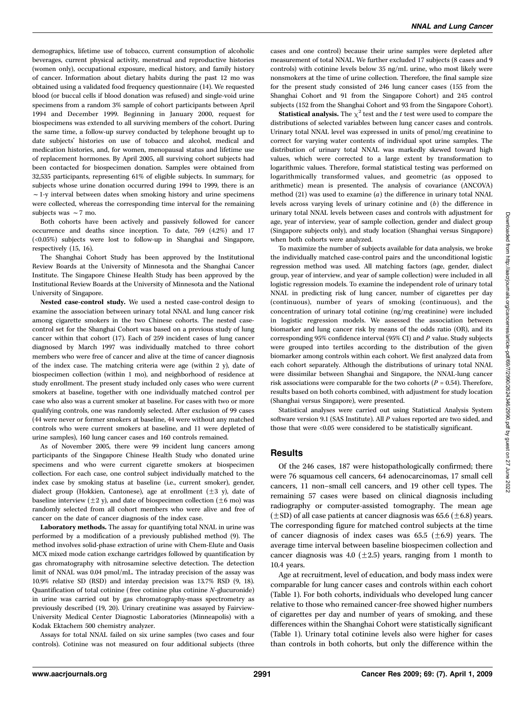demographics, lifetime use of tobacco, current consumption of alcoholic beverages, current physical activity, menstrual and reproductive histories (women only), occupational exposure, medical history, and family history of cancer. Information about dietary habits during the past 12 mo was obtained using a validated food frequency questionnaire (14). We requested blood (or buccal cells if blood donation was refused) and single-void urine specimens from a random 3% sample of cohort participants between April 1994 and December 1999. Beginning in January 2000, request for biospecimens was extended to all surviving members of the cohort. During the same time, a follow-up survey conducted by telephone brought up to date subjects' histories on use of tobacco and alcohol, medical and medication histories, and, for women, menopausal status and lifetime use of replacement hormones. By April 2005, all surviving cohort subjects had been contacted for biospecimen donation. Samples were obtained from 32,535 participants, representing 61% of eligible subjects. In summary, for subjects whose urine donation occurred during 1994 to 1999, there is an  $\sim$  1-y interval between dates when smoking history and urine specimens were collected, whereas the corresponding time interval for the remaining subjects was  $\sim$  7 mo.

Both cohorts have been actively and passively followed for cancer occurrence and deaths since inception. To date, 769 (4.2%) and 17 (<0.05%) subjects were lost to follow-up in Shanghai and Singapore, respectively (15, 16).

The Shanghai Cohort Study has been approved by the Institutional Review Boards at the University of Minnesota and the Shanghai Cancer Institute. The Singapore Chinese Health Study has been approved by the Institutional Review Boards at the University of Minnesota and the National University of Singapore.

Nested case-control study. We used a nested case-control design to examine the association between urinary total NNAL and lung cancer risk among cigarette smokers in the two Chinese cohorts. The nested casecontrol set for the Shanghai Cohort was based on a previous study of lung cancer within that cohort (17). Each of 259 incident cases of lung cancer diagnosed by March 1997 was individually matched to three cohort members who were free of cancer and alive at the time of cancer diagnosis of the index case. The matching criteria were age (within 2 y), date of biospecimen collection (within 1 mo), and neighborhood of residence at study enrollment. The present study included only cases who were current smokers at baseline, together with one individually matched control per case who also was a current smoker at baseline. For cases with two or more qualifying controls, one was randomly selected. After exclusion of 99 cases (44 were never or former smokers at baseline, 44 were without any matched controls who were current smokers at baseline, and 11 were depleted of urine samples), 160 lung cancer cases and 160 controls remained.

As of November 2005, there were 99 incident lung cancers among participants of the Singapore Chinese Health Study who donated urine specimens and who were current cigarette smokers at biospecimen collection. For each case, one control subject individually matched to the index case by smoking status at baseline (i.e., current smoker), gender, dialect group (Hokkien, Cantonese), age at enrollment  $(\pm 3 \text{ y})$ , date of baseline interview ( $\pm 2$  y), and date of biospecimen collection ( $\pm 6$  mo) was randomly selected from all cohort members who were alive and free of cancer on the date of cancer diagnosis of the index case.

Laboratory methods. The assay for quantifying total NNAL in urine was performed by a modification of a previously published method (9). The method involves solid-phase extraction of urine with Chem-Elute and Oasis MCX mixed mode cation exchange cartridges followed by quantification by gas chromatography with nitrosamine selective detection. The detection limit of NNAL was 0.04 pmol/mL. The intraday precision of the assay was 10.9% relative SD (RSD) and interday precision was 13.7% RSD (9, 18). Quantification of total cotinine (free cotinine plus cotinine N-glucuronide) in urine was carried out by gas chromatography-mass spectrometry as previously described (19, 20). Urinary creatinine was assayed by Fairview-University Medical Center Diagnostic Laboratories (Minneapolis) with a Kodak Ektachem 500 chemistry analyzer.

Assays for total NNAL failed on six urine samples (two cases and four controls). Cotinine was not measured on four additional subjects (three

cases and one control) because their urine samples were depleted after measurement of total NNAL. We further excluded 17 subjects (8 cases and 9 controls) with cotinine levels below 35 ng/mL urine, who most likely were nonsmokers at the time of urine collection. Therefore, the final sample size for the present study consisted of 246 lung cancer cases (155 from the Shanghai Cohort and 91 from the Singapore Cohort) and 245 control subjects (152 from the Shanghai Cohort and 93 from the Singapore Cohort).

**Statistical analysis.** The  $\chi^2$  test and the t test were used to compare the distributions of selected variables between lung cancer cases and controls. Urinary total NNAL level was expressed in units of pmol/mg creatinine to correct for varying water contents of individual spot urine samples. The distribution of urinary total NNAL was markedly skewed toward high values, which were corrected to a large extent by transformation to logarithmic values. Therefore, formal statistical testing was performed on logarithmically transformed values, and geometric (as opposed to arithmetic) mean is presented. The analysis of covariance (ANCOVA) method  $(21)$  was used to examine  $(a)$  the difference in urinary total NNAL levels across varying levels of urinary cotinine and (b) the difference in urinary total NNAL levels between cases and controls with adjustment for age, year of interview, year of sample collection, gender and dialect group (Singapore subjects only), and study location (Shanghai versus Singapore) when both cohorts were analyzed.

To maximize the number of subjects available for data analysis, we broke the individually matched case-control pairs and the unconditional logistic regression method was used. All matching factors (age, gender, dialect group, year of interview, and year of sample collection) were included in all logistic regression models. To examine the independent role of urinary total NNAL in predicting risk of lung cancer, number of cigarettes per day (continuous), number of years of smoking (continuous), and the concentration of urinary total cotinine (ng/mg creatinine) were included in logistic regression models. We assessed the association between biomarker and lung cancer risk by means of the odds ratio (OR), and its corresponding 95% confidence interval (95% CI) and P value. Study subjects were grouped into tertiles according to the distribution of the given biomarker among controls within each cohort. We first analyzed data from each cohort separately. Although the distributions of urinary total NNAL were dissimilar between Shanghai and Singapore, the NNAL-lung cancer risk associations were comparable for the two cohorts ( $P = 0.54$ ). Therefore, results based on both cohorts combined, with adjustment for study location (Shanghai versus Singapore), were presented.

Statistical analyses were carried out using Statistical Analysis System software version 9.1 (SAS Institute). All P values reported are two sided, and those that were <0.05 were considered to be statistically significant.

#### **Results**

Of the 246 cases, 187 were histopathologically confirmed; there were 76 squamous cell cancers, 64 adenocarcinomas, 17 small cell cancers, 11 non–small cell cancers, and 19 other cell types. The remaining 57 cases were based on clinical diagnosis including radiography or computer-assisted tomography. The mean age  $(\pm SD)$  of all case patients at cancer diagnosis was 65.6 ( $\pm$ 6.8) years. The corresponding figure for matched control subjects at the time of cancer diagnosis of index cases was 65.5 ( $\pm$ 6.9) years. The average time interval between baseline biospecimen collection and cancer diagnosis was 4.0 ( $\pm$ 2.5) years, ranging from 1 month to 10.4 years.

Age at recruitment, level of education, and body mass index were comparable for lung cancer cases and controls within each cohort (Table 1). For both cohorts, individuals who developed lung cancer relative to those who remained cancer-free showed higher numbers of cigarettes per day and number of years of smoking, and these differences within the Shanghai Cohort were statistically significant (Table 1). Urinary total cotinine levels also were higher for cases than controls in both cohorts, but only the difference within the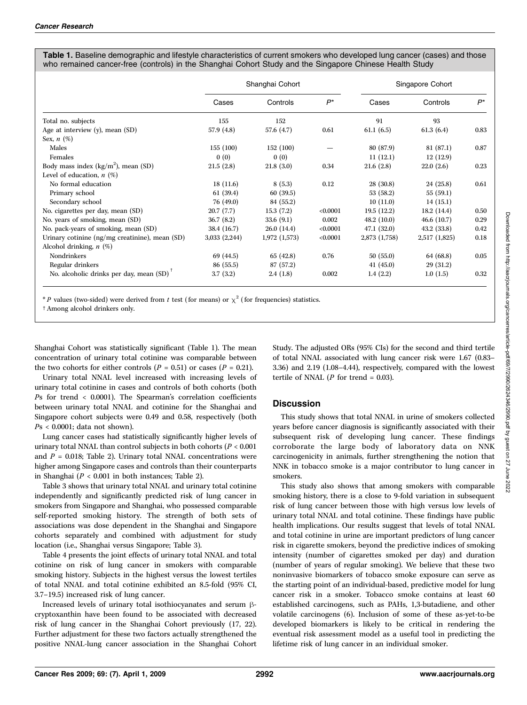Table 1. Baseline demographic and lifestyle characteristics of current smokers who developed lung cancer (cases) and those who remained cancer-free (controls) in the Shanghai Cohort Study and the Singapore Chinese Health Study

|                                                | Shanghai Cohort |              |          | Singapore Cohort |               |       |  |
|------------------------------------------------|-----------------|--------------|----------|------------------|---------------|-------|--|
|                                                | Cases           | Controls     | $P^*$    | Cases            | Controls      | $P^*$ |  |
| Total no. subjects                             | 155             | 152          |          | 91               | 93            |       |  |
| Age at interview $(y)$ , mean $(SD)$           | 57.9 (4.8)      | 57.6 (4.7)   | 0.61     | 61.1(6.5)        | 61.3(6.4)     | 0.83  |  |
| Sex, $n$ $(\%)$                                |                 |              |          |                  |               |       |  |
| Males                                          | 155(100)        | 152(100)     |          | 80 (87.9)        | 81 (87.1)     | 0.87  |  |
| Females                                        | 0(0)            | 0(0)         |          | 11(12.1)         | 12(12.9)      |       |  |
| Body mass index $(kg/m2)$ , mean (SD)          | 21.5(2.8)       | 21.8(3.0)    | 0.34     | 21.6(2.8)        | 22.0(2.6)     | 0.23  |  |
| Level of education, $n$ (%)                    |                 |              |          |                  |               |       |  |
| No formal education                            | 18(11.6)        | 8(5.3)       | 0.12     | 28(30.8)         | 24(25.8)      | 0.61  |  |
| Primary school                                 | 61(39.4)        | 60 (39.5)    |          | 53 (58.2)        | 55(59.1)      |       |  |
| Secondary school                               | 76 (49.0)       | 84 (55.2)    |          | 10(11.0)         | 14(15.1)      |       |  |
| No. cigarettes per day, mean (SD)              | 20.7(7.7)       | 15.3(7.2)    | < 0.0001 | 19.5(12.2)       | 18.2(14.4)    | 0.50  |  |
| No. years of smoking, mean (SD)                | 36.7(8.2)       | 33.6(9.1)    | 0.002    | 48.2(10.0)       | 46.6(10.7)    | 0.29  |  |
| No. pack-years of smoking, mean (SD)           | 38.4 (16.7)     | 26.0(14.4)   | < 0.0001 | 47.1(32.0)       | 43.2(33.8)    | 0.42  |  |
| Urinary cotinine (ng/mg creatinine), mean (SD) | 3,033(2,244)    | 1,972(1,573) | < 0.0001 | 2,873 (1,758)    | 2,517 (1,825) | 0.18  |  |
| Alcohol drinking, $n$ (%)                      |                 |              |          |                  |               |       |  |
| <b>Nondrinkers</b>                             | 69 (44.5)       | 65 (42.8)    | 0.76     | 50(55.0)         | 64 (68.8)     | 0.05  |  |
| Regular drinkers                               | 86 (55.5)       | 87 (57.2)    |          | 41 $(45.0)$      | 29(31.2)      |       |  |
| No. alcoholic drinks per day, mean (SD)        | 3.7(3.2)        | 2.4(1.8)     | 0.002    | 1.4(2.2)         | 1.0(1.5)      | 0.32  |  |

\* P values (two-sided) were derived from t test (for means) or  $\chi^2$  (for frequencies) statistics.

<sup>t</sup> Among alcohol drinkers only.

Shanghai Cohort was statistically significant (Table 1). The mean concentration of urinary total cotinine was comparable between the two cohorts for either controls ( $P = 0.51$ ) or cases ( $P = 0.21$ ).

Urinary total NNAL level increased with increasing levels of urinary total cotinine in cases and controls of both cohorts (both Ps for trend < 0.0001). The Spearman's correlation coefficients between urinary total NNAL and cotinine for the Shanghai and Singapore cohort subjects were 0.49 and 0.58, respectively (both  $Ps < 0.0001$ ; data not shown).

Lung cancer cases had statistically significantly higher levels of urinary total NNAL than control subjects in both cohorts ( $P < 0.001$ ) and  $P = 0.018$ ; Table 2). Urinary total NNAL concentrations were higher among Singapore cases and controls than their counterparts in Shanghai ( $P < 0.001$  in both instances; Table 2).

Table 3 shows that urinary total NNAL and urinary total cotinine independently and significantly predicted risk of lung cancer in smokers from Singapore and Shanghai, who possessed comparable self-reported smoking history. The strength of both sets of associations was dose dependent in the Shanghai and Singapore cohorts separately and combined with adjustment for study location (i.e., Shanghai versus Singapore; Table 3).

Table 4 presents the joint effects of urinary total NNAL and total cotinine on risk of lung cancer in smokers with comparable smoking history. Subjects in the highest versus the lowest tertiles of total NNAL and total cotinine exhibited an 8.5-fold (95% CI, 3.7–19.5) increased risk of lung cancer.

Increased levels of urinary total isothiocyanates and serum  $\beta$ cryptoxanthin have been found to be associated with decreased risk of lung cancer in the Shanghai Cohort previously (17, 22). Further adjustment for these two factors actually strengthened the positive NNAL-lung cancer association in the Shanghai Cohort Study. The adjusted ORs (95% CIs) for the second and third tertile of total NNAL associated with lung cancer risk were 1.67 (0.83– 3.36) and 2.19 (1.08–4.44), respectively, compared with the lowest tertile of NNAL ( $P$  for trend = 0.03).

## **Discussion**

This study shows that total NNAL in urine of smokers collected years before cancer diagnosis is significantly associated with their subsequent risk of developing lung cancer. These findings corroborate the large body of laboratory data on NNK carcinogenicity in animals, further strengthening the notion that NNK in tobacco smoke is a major contributor to lung cancer in smokers.

This study also shows that among smokers with comparable smoking history, there is a close to 9-fold variation in subsequent risk of lung cancer between those with high versus low levels of urinary total NNAL and total cotinine. These findings have public health implications. Our results suggest that levels of total NNAL and total cotinine in urine are important predictors of lung cancer risk in cigarette smokers, beyond the predictive indices of smoking intensity (number of cigarettes smoked per day) and duration (number of years of regular smoking). We believe that these two noninvasive biomarkers of tobacco smoke exposure can serve as the starting point of an individual-based, predictive model for lung cancer risk in a smoker. Tobacco smoke contains at least 60 established carcinogens, such as PAHs, 1,3-butadiene, and other volatile carcinogens (6). Inclusion of some of these as-yet-to-be developed biomarkers is likely to be critical in rendering the eventual risk assessment model as a useful tool in predicting the lifetime risk of lung cancer in an individual smoker.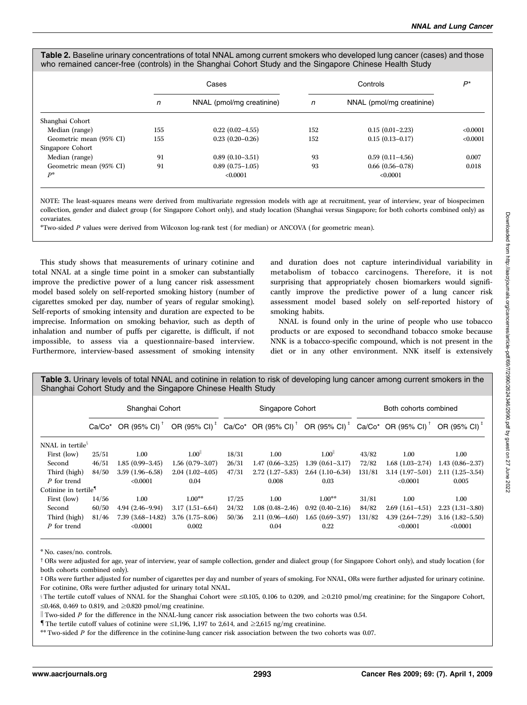Table 2. Baseline urinary concentrations of total NNAL among current smokers who developed lung cancer (cases) and those who remained cancer-free (controls) in the Shanghai Cohort Study and the Singapore Chinese Health Study

|                         |     | Cases                     |              | Controls                  |          |  |
|-------------------------|-----|---------------------------|--------------|---------------------------|----------|--|
|                         | n   | NNAL (pmol/mg creatinine) | $\mathsf{n}$ | NNAL (pmol/mg creatinine) |          |  |
| Shanghai Cohort         |     |                           |              |                           |          |  |
| Median (range)          | 155 | $0.22(0.02-4.55)$         | 152          | $0.15(0.01-2.23)$         | < 0.0001 |  |
| Geometric mean (95% CI) | 155 | $0.23(0.20-0.26)$         | 152          | $0.15(0.13-0.17)$         | < 0.0001 |  |
| Singapore Cohort        |     |                           |              |                           |          |  |
| Median (range)          | 91  | $0.89(0.10-3.51)$         | 93           | $0.59(0.11-4.56)$         | 0.007    |  |
| Geometric mean (95% CI) | 91  | $0.89(0.75-1.05)$         | 93           | $0.66$ $(0.56 - 0.78)$    | 0.018    |  |
| $P^*$                   |     | < 0.0001                  |              | < 0.0001                  |          |  |

NOTE: The least-squares means were derived from multivariate regression models with age at recruitment, year of interview, year of biospecimen collection, gender and dialect group (for Singapore Cohort only), and study location (Shanghai versus Singapore;for both cohorts combined only) as covariates.

\*Two-sided P values were derived from Wilcoxon log-rank test (for median) or ANCOVA (for geometric mean).

This study shows that measurements of urinary cotinine and total NNAL at a single time point in a smoker can substantially improve the predictive power of a lung cancer risk assessment model based solely on self-reported smoking history (number of cigarettes smoked per day, number of years of regular smoking). Self-reports of smoking intensity and duration are expected to be imprecise. Information on smoking behavior, such as depth of inhalation and number of puffs per cigarette, is difficult, if not impossible, to assess via a questionnaire-based interview. Furthermore, interview-based assessment of smoking intensity

and duration does not capture interindividual variability in metabolism of tobacco carcinogens. Therefore, it is not surprising that appropriately chosen biomarkers would significantly improve the predictive power of a lung cancer risk assessment model based solely on self-reported history of smoking habits.

NNAL is found only in the urine of people who use tobacco products or are exposed to secondhand tobacco smoke because NNK is a tobacco-specific compound, which is not present in the diet or in any other environment. NNK itself is extensively

| Table 3. Urinary levels of total NNAL and cotinine in relation to risk of developing lung cancer among current smokers in the |
|-------------------------------------------------------------------------------------------------------------------------------|
| Shanghai Cohort Study and the Singapore Chinese Health Study                                                                  |

|                                  | Shanghai Cohort |                      |                        | Singapore Cohort |                                                                                                |                                                                                                | Both cohorts combined |                     |                                       |
|----------------------------------|-----------------|----------------------|------------------------|------------------|------------------------------------------------------------------------------------------------|------------------------------------------------------------------------------------------------|-----------------------|---------------------|---------------------------------------|
|                                  | $Ca/Co*$        | OR (95% CI) '        |                        |                  | OR (95% CI) <sup><math>+</math></sup> Ca/Co <sup>*</sup> OR (95% CI) <sup><math>+</math></sup> | OR (95% CI) <sup><math>+</math></sup> Ca/Co <sup>*</sup> OR (95% CI) <sup><math>+</math></sup> |                       |                     | OR (95% CI) <sup><math>#</math></sup> |
| NNAL in tertile $\delta$         |                 |                      |                        |                  |                                                                                                |                                                                                                |                       |                     |                                       |
| First (low)                      | 25/51           | 1.00                 | $1.00$ <sup>  </sup>   | 18/31            | 1.00                                                                                           | 1.00                                                                                           | 43/82                 | 1.00                | 1.00                                  |
| Second                           | 46/51           | $1.85(0.99 - 3.45)$  | $1.56(0.79-3.07)$      | 26/31            | $1.47(0.66 - 3.25)$                                                                            | $1.39(0.61 - 3.17)$                                                                            | 72/82                 | $1.68(1.03-2.74)$   | $1.43(0.86 - 2.37)$                   |
| Third (high)                     | 84/50           | $3.59(1.96 - 6.58)$  | $2.04(1.02-4.05)$      | 47/31            | $2.72(1.27-5.83)$                                                                              | $2.64(1.10-6.34)$                                                                              | 131/81                | $3.14(1.97-5.01)$   | $2.11(1.25-3.54)$                     |
| P for trend                      |                 | <0.0001              | 0.04                   |                  | 0.008                                                                                          | 0.03                                                                                           |                       | < 0.0001            | 0.005                                 |
| Cotinine in tertile <sup>1</sup> |                 |                      |                        |                  |                                                                                                |                                                                                                |                       |                     |                                       |
| First (low)                      | 14/56           | 1.00                 | $1.00**$               | 17/25            | 1.00                                                                                           | $1.00**$                                                                                       | 31/81                 | 1.00                | 1.00                                  |
| Second                           | 60/50           | $4.94(2.46-9.94)$    | $3.17(1.51-6.64)$      | 24/32            | $1.08(0.48-2.46)$                                                                              | $0.92(0.40-2.16)$                                                                              | 84/82                 | $2.69(1.61-4.51)$   | $2.23(1.31-3.80)$                     |
| Third (high)                     | 81/46           | $7.39(3.68 - 14.82)$ | $3.76$ $(1.75 - 8.06)$ | 50/36            | $2.11(0.96 - 4.60)$                                                                            | $1.65(0.69 - 3.97)$                                                                            | 131/82                | $4.39(2.64 - 7.29)$ | $3.16(1.82 - 5.50)$                   |
| P for trend                      |                 | < 0.0001             | 0.002                  |                  | 0.04                                                                                           | 0.22                                                                                           |                       | < 0.0001            | < 0.0001                              |

\* No. cases/no. controls.

t ORs were adjusted for age, year of interview, year of sample collection, gender and dialect group (for Singapore Cohort only), and study location (for both cohorts combined only).

 $\ddagger$  ORs were further adjusted for number of cigarettes per day and number of years of smoking. For NNAL, ORs were further adjusted for urinary cotinine. For cotinine, ORs were further adjusted for urinary total NNAL.

 $$The tertile cutoff values of NNAL for the Shanghai Cohort were  $\leq 0.105, 0.106$  to 0.209, and  $\geq 0.210$  pmol/mg creatinine; for the Singapore Cohort,$  $\leq$ 0.468, 0.469 to 0.819, and  $\geq$ 0.820 pmol/mg creatinine.

 $\parallel$  Two-sided P for the difference in the NNAL-lung cancer risk association between the two cohorts was 0.54.

The tertile cutoff values of cotinine were  $\leq$ 1,196, 1,197 to 2,614, and  $\geq$ 2,615 ng/mg creatinine.

\*\* Two-sided P for the difference in the cotinine-lung cancer risk association between the two cohorts was 0.07.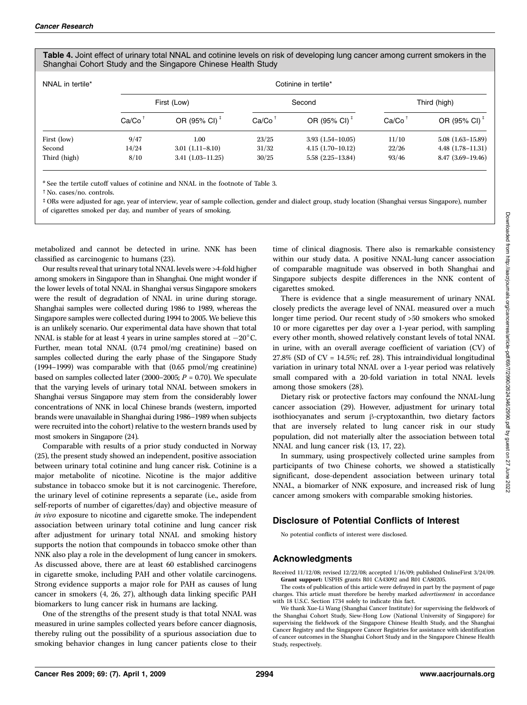Table 4. Joint effect of urinary total NNAL and cotinine levels on risk of developing lung cancer among current smokers in the Shanghai Cohort Study and the Singapore Chinese Health Study

| NNAL in tertile* |       | Cotinine in tertile*     |       |                          |              |                          |  |  |  |  |
|------------------|-------|--------------------------|-------|--------------------------|--------------|--------------------------|--|--|--|--|
|                  |       | First (Low)              |       | Second                   | Third (high) |                          |  |  |  |  |
|                  | Ca/Co | OR (95% CI) <sup>T</sup> | Ca/Co | OR (95% CI) <sup>‡</sup> | Ca/Co        | OR (95% CI) <sup>+</sup> |  |  |  |  |
| First (low)      | 9/47  | 1.00                     | 23/25 | $3.93(1.54 - 10.05)$     | 11/10        | $5.08(1.63 - 15.89)$     |  |  |  |  |
| Second           | 14/24 | $3.01(1.11-8.10)$        | 31/32 | $4.15(1.70-10.12)$       | 22/26        | $4.48(1.78-11.31)$       |  |  |  |  |
| Third (high)     | 8/10  | $3.41(1.03-11.25)$       | 30/25 | $5.58(2.25-13.84)$       | 93/46        | $8.47(3.69-19.46)$       |  |  |  |  |

\* See the tertile cutoff values of cotinine and NNAL in the footnote of Table 3.

<sup>†</sup> No. cases/no. controls.

 $\pm$  ORs were adjusted for age, year of interview, year of sample collection, gender and dialect group, study location (Shanghai versus Singapore), number of cigarettes smoked per day, and number of years of smoking.

metabolized and cannot be detected in urine. NNK has been classified as carcinogenic to humans (23).

Our results reveal that urinary total NNAL levels were >4-fold higher among smokers in Singapore than in Shanghai. One might wonder if the lower levels of total NNAL in Shanghai versus Singapore smokers were the result of degradation of NNAL in urine during storage. Shanghai samples were collected during 1986 to 1989, whereas the Singapore samples were collected during 1994 to 2005. We believe this is an unlikely scenario. Our experimental data have shown that total NNAL is stable for at least 4 years in urine samples stored at  $-20^{\circ}$ C. Further, mean total NNAL (0.74 pmol/mg creatinine) based on samples collected during the early phase of the Singapore Study (1994–1999) was comparable with that (0.65 pmol/mg creatinine) based on samples collected later (2000–2005;  $P = 0.70$ ). We speculate that the varying levels of urinary total NNAL between smokers in Shanghai versus Singapore may stem from the considerably lower concentrations of NNK in local Chinese brands (western, imported brands were unavailable in Shanghai during 1986–1989 when subjects were recruited into the cohort) relative to the western brands used by most smokers in Singapore (24).

Comparable with results of a prior study conducted in Norway (25), the present study showed an independent, positive association between urinary total cotinine and lung cancer risk. Cotinine is a major metabolite of nicotine. Nicotine is the major additive substance in tobacco smoke but it is not carcinogenic. Therefore, the urinary level of cotinine represents a separate (i.e., aside from self-reports of number of cigarettes/day) and objective measure of in vivo exposure to nicotine and cigarette smoke. The independent association between urinary total cotinine and lung cancer risk after adjustment for urinary total NNAL and smoking history supports the notion that compounds in tobacco smoke other than NNK also play a role in the development of lung cancer in smokers. As discussed above, there are at least 60 established carcinogens in cigarette smoke, including PAH and other volatile carcinogens. Strong evidence supports a major role for PAH as causes of lung cancer in smokers (4, 26, 27), although data linking specific PAH biomarkers to lung cancer risk in humans are lacking.

One of the strengths of the present study is that total NNAL was measured in urine samples collected years before cancer diagnosis, thereby ruling out the possibility of a spurious association due to smoking behavior changes in lung cancer patients close to their time of clinical diagnosis. There also is remarkable consistency within our study data. A positive NNAL-lung cancer association of comparable magnitude was observed in both Shanghai and Singapore subjects despite differences in the NNK content of cigarettes smoked.

There is evidence that a single measurement of urinary NNAL closely predicts the average level of NNAL measured over a much longer time period. Our recent study of >50 smokers who smoked 10 or more cigarettes per day over a 1-year period, with sampling every other month, showed relatively constant levels of total NNAL in urine, with an overall average coefficient of variation (CV) of  $27.8\%$  (SD of CV = 14.5%; ref. 28). This intraindividual longitudinal variation in urinary total NNAL over a 1-year period was relatively small compared with a 20-fold variation in total NNAL levels among those smokers (28).

Dietary risk or protective factors may confound the NNAL-lung cancer association (29). However, adjustment for urinary total isothiocyanates and serum  $\beta$ -cryptoxanthin, two dietary factors that are inversely related to lung cancer risk in our study population, did not materially alter the association between total NNAL and lung cancer risk (13, 17, 22).

In summary, using prospectively collected urine samples from participants of two Chinese cohorts, we showed a statistically significant, dose-dependent association between urinary total NNAL, a biomarker of NNK exposure, and increased risk of lung cancer among smokers with comparable smoking histories.

# Disclosure of Potential Conflicts of Interest

No potential conflicts of interest were disclosed.

## Acknowledgments

Received 11/12/08; revised 12/22/08; accepted 1/16/09; published OnlineFirst 3/24/09. Grant support: USPHS grants R01 CA43092 and R01 CA80205.

The costs of publication of this article were defrayed in part by the payment of page charges. This article must therefore be hereby marked *advertisement* in accordance with 18 U.S.C. Section 1734 solely to indicate this fact.

We thank Xue-Li Wang (Shanghai Cancer Institute) for supervising the fieldwork of the Shanghai Cohort Study, Siew-Hong Low (National University of Singapore) for supervising the fieldwork of the Singapore Chinese Health Study, and the Shanghai Cancer Registry and the Singapore Cancer Registries for assistance with identification of cancer outcomes in the Shanghai Cohort Study and in the Singapore Chinese Health Study, respectively.